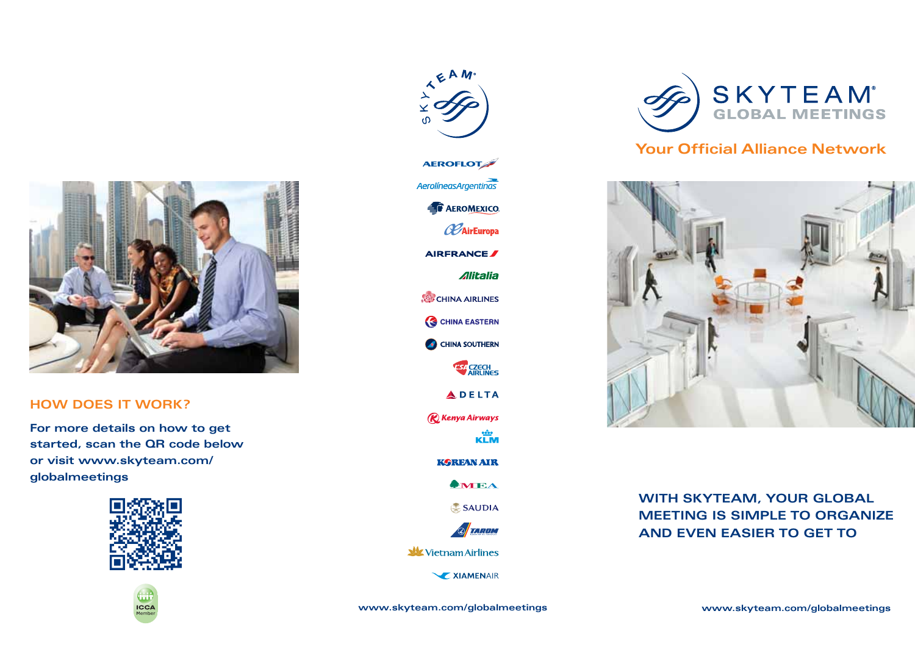

### **HOW DOES IT WORK?**

**For more details on how to get started, scan the QR code below or visit www.skyteam.com/ globalmeetings**







TEAM

**Struum** 

**W** Vietnam Airlines

**XIAMENAIR** 



## **Your Official Alliance Network**



## **WITH SKYTEAM, YOUR GLOBAL MEETING IS SIMPLE TO ORGANIZE AND EVEN EASIER TO GET TO**

**www.skyteam.com/globalmeetings www.skyteam.com/globalmeetings**